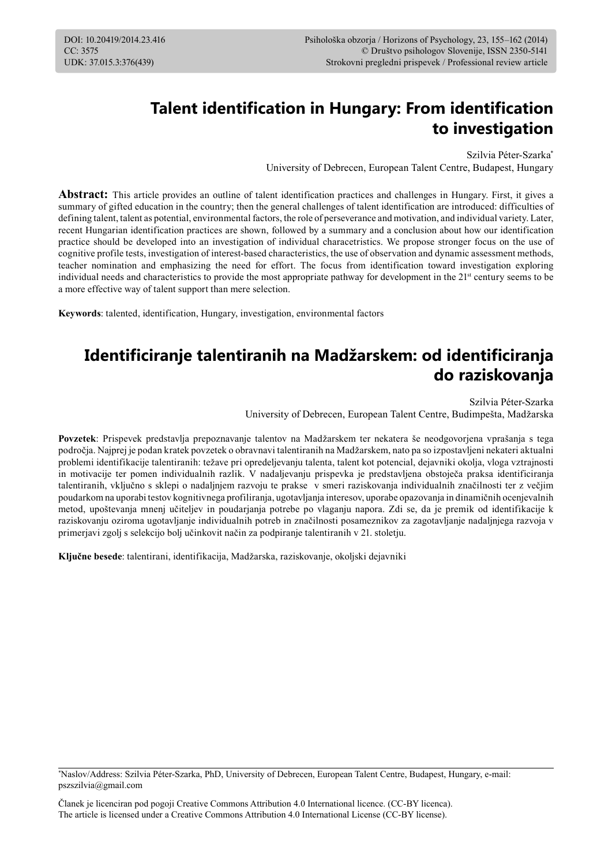# **Talent identification in Hungary: From identification to investigation**

Szilvia Péter-Szarka\* University of Debrecen, European Talent Centre, Budapest, Hungary

**Abstract:** This article provides an outline of talent identification practices and challenges in Hungary. First, it gives a summary of gifted education in the country; then the general challenges of talent identification are introduced: difficulties of defining talent, talent as potential, environmental factors, the role of perseverance and motivation, and individual variety. Later, recent Hungarian identification practices are shown, followed by a summary and a conclusion about how our identification practice should be developed into an investigation of individual characetristics. We propose stronger focus on the use of cognitive profile tests, investigation of interest-based characteristics, the use of observation and dynamic assessment methods, teacher nomination and emphasizing the need for effort. The focus from identification toward investigation exploring individual needs and characteristics to provide the most appropriate pathway for development in the  $21<sup>st</sup>$  century seems to be a more effective way of talent support than mere selection.

**Keywords**: talented, identification, Hungary, investigation, environmental factors

# **Identificiranje talentiranih na Madžarskem: od identificiranja do raziskovanja**

Szilvia Péter-Szarka University of Debrecen, European Talent Centre, Budimpešta, Madžarska

**Povzetek**: Prispevek predstavlja prepoznavanje talentov na Madžarskem ter nekatera še neodgovorjena vprašanja s tega področja. Najprej je podan kratek povzetek o obravnavi talentiranih na Madžarskem, nato pa so izpostavljeni nekateri aktualni problemi identifikacije talentiranih: težave pri opredeljevanju talenta, talent kot potencial, dejavniki okolja, vloga vztrajnosti in motivacije ter pomen individualnih razlik. V nadaljevanju prispevka je predstavljena obstoječa praksa identificiranja talentiranih, vključno s sklepi o nadaljnjem razvoju te prakse v smeri raziskovanja individualnih značilnosti ter z večjim poudarkom na uporabi testov kognitivnega profiliranja, ugotavljanja interesov, uporabe opazovanja in dinamičnih ocenjevalnih metod, upoštevanja mnenj učiteljev in poudarjanja potrebe po vlaganju napora. Zdi se, da je premik od identifikacije k raziskovanju oziroma ugotavljanje individualnih potreb in značilnosti posameznikov za zagotavljanje nadaljnjega razvoja v primerjavi zgolj s selekcijo bolj učinkovit način za podpiranje talentiranih v 21. stoletju.

**Ključne besede**: talentirani, identifikacija, Madžarska, raziskovanje, okoljski dejavniki

<sup>\*</sup> Naslov/Address: Szilvia Péter-Szarka, PhD, University of Debrecen, European Talent Centre, Budapest, Hungary, e-mail: pszszilvia@gmail.com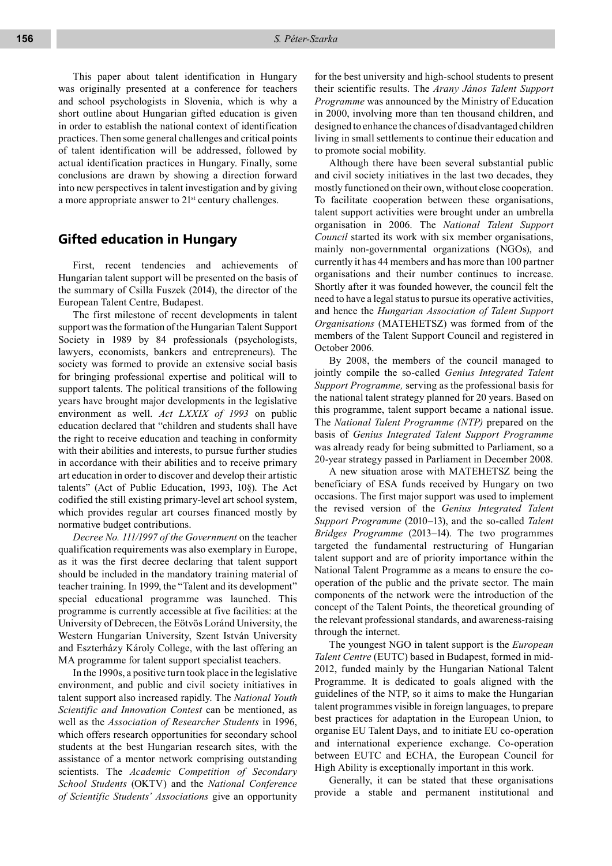This paper about talent identification in Hungary was originally presented at a conference for teachers and school psychologists in Slovenia, which is why a short outline about Hungarian gifted education is given in order to establish the national context of identification practices. Then some general challenges and critical points of talent identification will be addressed, followed by actual identification practices in Hungary. Finally, some conclusions are drawn by showing a direction forward into new perspectives in talent investigation and by giving a more appropriate answer to 21<sup>st</sup> century challenges.

## **Gifted education in Hungary**

First, recent tendencies and achievements of Hungarian talent support will be presented on the basis of the summary of Csilla Fuszek (2014), the director of the European Talent Centre, Budapest.

The first milestone of recent developments in talent support was the formation of the Hungarian Talent Support Society in 1989 by 84 professionals (psychologists, lawyers, economists, bankers and entrepreneurs). The society was formed to provide an extensive social basis for bringing professional expertise and political will to support talents. The political transitions of the following years have brought major developments in the legislative environment as well. *Act LXXIX of 1993* on public education declared that "children and students shall have the right to receive education and teaching in conformity with their abilities and interests, to pursue further studies in accordance with their abilities and to receive primary art education in order to discover and develop their artistic talents" (Act of Public Education, 1993, 10§). The Act codified the still existing primary-level art school system, which provides regular art courses financed mostly by normative budget contributions.

*Decree No. 111/1997 of the Government* on the teacher qualification requirements was also exemplary in Europe, as it was the first decree declaring that talent support should be included in the mandatory training material of teacher training. In 1999, the "Talent and its development" special educational programme was launched. This programme is currently accessible at five facilities: at the University of Debrecen, the Eötvös Loránd University, the Western Hungarian University, Szent István University and Eszterházy Károly College, with the last offering an MA programme for talent support specialist teachers.

In the 1990s, a positive turn took place in the legislative environment, and public and civil society initiatives in talent support also increased rapidly. The *National Youth Scientific and Innovation Contest* can be mentioned, as well as the *Association of Researcher Students* in 1996, which offers research opportunities for secondary school students at the best Hungarian research sites, with the assistance of a mentor network comprising outstanding scientists. The *Academic Competition of Secondary School Students* (OKTV) and the *National Conference of Scientific Students' Associations* give an opportunity

for the best university and high-school students to present their scientific results. The *Arany János Talent Support Programme* was announced by the Ministry of Education in 2000, involving more than ten thousand children, and designed to enhance the chances of disadvantaged children living in small settlements to continue their education and to promote social mobility.

Although there have been several substantial public and civil society initiatives in the last two decades, they mostly functioned on their own, without close cooperation. To facilitate cooperation between these organisations, talent support activities were brought under an umbrella organisation in 2006. The *National Talent Support Council* started its work with six member organisations, mainly non-governmental organizations (NGOs), and currently it has 44 members and has more than 100 partner organisations and their number continues to increase. Shortly after it was founded however, the council felt the need to have a legal status to pursue its operative activities, and hence the *Hungarian Association of Talent Support Organisations* (MATEHETSZ) was formed from of the members of the Talent Support Council and registered in October 2006.

By 2008, the members of the council managed to jointly compile the so-called *Genius Integrated Talent Support Programme,* serving as the professional basis for the national talent strategy planned for 20 years. Based on this programme, talent support became a national issue. The *National Talent Programme (NTP)* prepared on the basis of *Genius Integrated Talent Support Programme* was already ready for being submitted to Parliament, so a 20-year strategy passed in Parliament in December 2008.

A new situation arose with MATEHETSZ being the beneficiary of ESA funds received by Hungary on two occasions. The first major support was used to implement the revised version of the *Genius Integrated Talent Support Programme* (2010–13), and the so-called *Talent Bridges Programme* (2013–14). The two programmes targeted the fundamental restructuring of Hungarian talent support and are of priority importance within the National Talent Programme as a means to ensure the cooperation of the public and the private sector. The main components of the network were the introduction of the concept of the Talent Points, the theoretical grounding of the relevant professional standards, and awareness-raising through the internet.

The youngest NGO in talent support is the *European Talent Centre* (EUTC) based in Budapest, formed in mid-2012, funded mainly by the Hungarian National Talent Programme. It is dedicated to goals aligned with the guidelines of the NTP, so it aims to make the Hungarian talent programmes visible in foreign languages, to prepare best practices for adaptation in the European Union, to organise EU Talent Days, and to initiate EU co-operation and international experience exchange. Co-operation between EUTC and ECHA, the European Council for High Ability is exceptionally important in this work.

Generally, it can be stated that these organisations provide a stable and permanent institutional and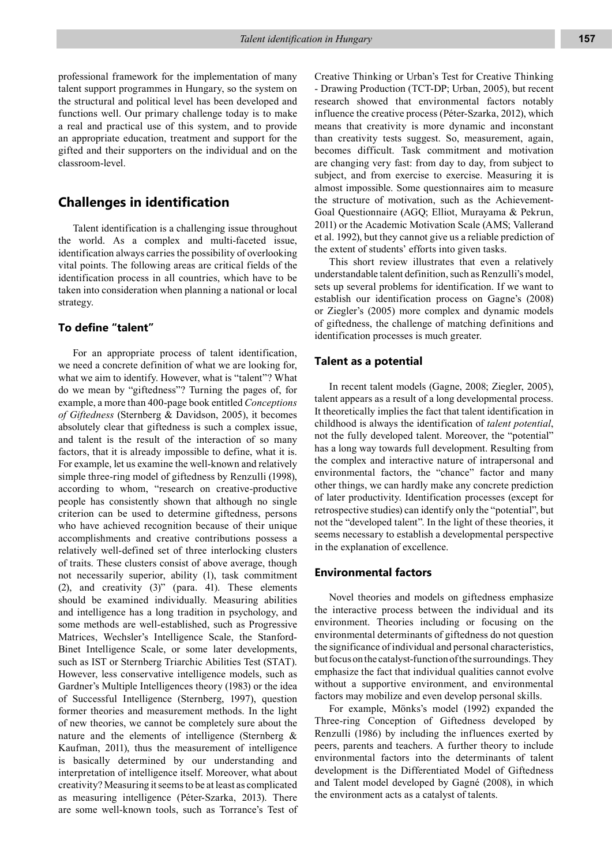professional framework for the implementation of many talent support programmes in Hungary, so the system on the structural and political level has been developed and functions well. Our primary challenge today is to make a real and practical use of this system, and to provide an appropriate education, treatment and support for the gifted and their supporters on the individual and on the classroom-level.

## **Challenges in identification**

Talent identification is a challenging issue throughout the world. As a complex and multi-faceted issue, identification always carries the possibility of overlooking vital points. The following areas are critical fields of the identification process in all countries, which have to be taken into consideration when planning a national or local strategy.

### **To define "talent"**

For an appropriate process of talent identification, we need a concrete definition of what we are looking for, what we aim to identify. However, what is "talent"? What do we mean by "giftedness"? Turning the pages of, for example, a more than 400-page book entitled *Conceptions of Giftedness* (Sternberg & Davidson, 2005), it becomes absolutely clear that giftedness is such a complex issue, and talent is the result of the interaction of so many factors, that it is already impossible to define, what it is. For example, let us examine the well-known and relatively simple three-ring model of giftedness by Renzulli (1998), according to whom, "research on creative-productive people has consistently shown that although no single criterion can be used to determine giftedness, persons who have achieved recognition because of their unique accomplishments and creative contributions possess a relatively well-defined set of three interlocking clusters of traits. These clusters consist of above average, though not necessarily superior, ability (1), task commitment (2), and creativity (3)" (para. 41). These elements should be examined individually. Measuring abilities and intelligence has a long tradition in psychology, and some methods are well-established, such as Progressive Matrices, Wechsler's Intelligence Scale, the Stanford-Binet Intelligence Scale, or some later developments, such as IST or Sternberg Triarchic Abilities Test (STAT). However, less conservative intelligence models, such as Gardner's Multiple Intelligences theory (1983) or the idea of Successful Intelligence (Sternberg, 1997), question former theories and measurement methods. In the light of new theories, we cannot be completely sure about the nature and the elements of intelligence (Sternberg & Kaufman, 2011), thus the measurement of intelligence is basically determined by our understanding and interpretation of intelligence itself. Moreover, what about creativity? Measuring it seems to be at least as complicated as measuring intelligence (Péter-Szarka, 2013). There are some well-known tools, such as Torrance's Test of

Creative Thinking or Urban's Test for Creative Thinking - Drawing Production (TCT-DP; Urban, 2005), but recent research showed that environmental factors notably influence the creative process (Péter-Szarka, 2012), which means that creativity is more dynamic and inconstant than creativity tests suggest. So, measurement, again, becomes difficult. Task commitment and motivation are changing very fast: from day to day, from subject to subject, and from exercise to exercise. Measuring it is almost impossible. Some questionnaires aim to measure the structure of motivation, such as the Achievement-Goal Questionnaire (AGQ; Elliot, Murayama & Pekrun, 2011) or the Academic Motivation Scale (AMS; Vallerand et al. 1992), but they cannot give us a reliable prediction of the extent of students' efforts into given tasks.

This short review illustrates that even a relatively understandable talent definition, such as Renzulli's model, sets up several problems for identification. If we want to establish our identification process on Gagne's (2008) or Ziegler's (2005) more complex and dynamic models of giftedness, the challenge of matching definitions and identification processes is much greater.

#### **Talent as a potential**

In recent talent models (Gagne, 2008; Ziegler, 2005), talent appears as a result of a long developmental process. It theoretically implies the fact that talent identification in childhood is always the identification of *talent potential*, not the fully developed talent. Moreover, the "potential" has a long way towards full development. Resulting from the complex and interactive nature of intrapersonal and environmental factors, the "chance" factor and many other things, we can hardly make any concrete prediction of later productivity. Identification processes (except for retrospective studies) can identify only the "potential", but not the "developed talent". In the light of these theories, it seems necessary to establish a developmental perspective in the explanation of excellence.

#### **Environmental factors**

Novel theories and models on giftedness emphasize the interactive process between the individual and its environment. Theories including or focusing on the environmental determinants of giftedness do not question the significance of individual and personal characteristics, but focus on the catalyst-function of the surroundings. They emphasize the fact that individual qualities cannot evolve without a supportive environment, and environmental factors may mobilize and even develop personal skills.

For example, Mönks's model (1992) expanded the Three-ring Conception of Giftedness developed by Renzulli (1986) by including the influences exerted by peers, parents and teachers. A further theory to include environmental factors into the determinants of talent development is the Differentiated Model of Giftedness and Talent model developed by Gagné (2008), in which the environment acts as a catalyst of talents.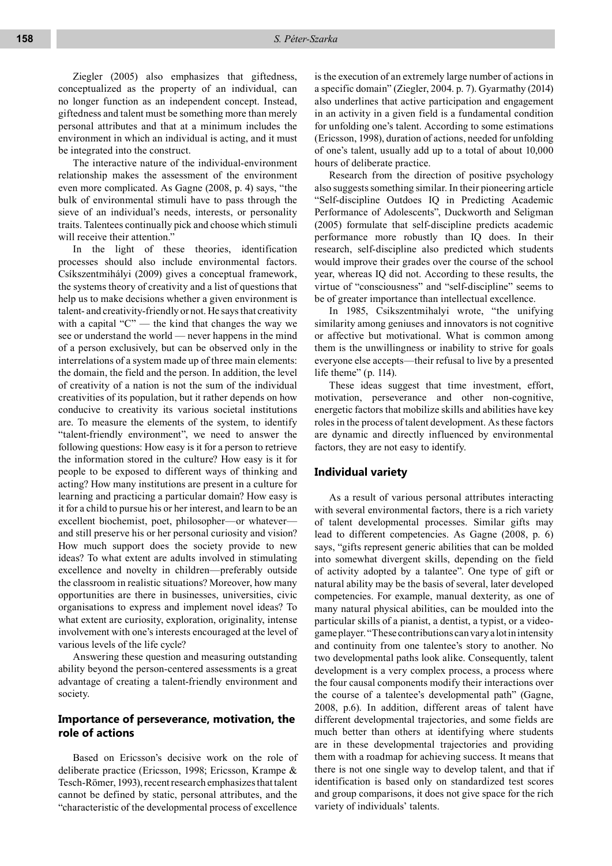Ziegler (2005) also emphasizes that giftedness, conceptualized as the property of an individual, can no longer function as an independent concept. Instead, giftedness and talent must be something more than merely personal attributes and that at a minimum includes the environment in which an individual is acting, and it must be integrated into the construct.

The interactive nature of the individual-environment relationship makes the assessment of the environment even more complicated. As Gagne (2008, p. 4) says, "the bulk of environmental stimuli have to pass through the sieve of an individual's needs, interests, or personality traits. Talentees continually pick and choose which stimuli will receive their attention."

In the light of these theories, identification processes should also include environmental factors. Csíkszentmihályi (2009) gives a conceptual framework, the systems theory of creativity and a list of questions that help us to make decisions whether a given environment is talent- and creativity-friendly or not. He says that creativity with a capital "C" — the kind that changes the way we see or understand the world — never happens in the mind of a person exclusively, but can be observed only in the interrelations of a system made up of three main elements: the domain, the field and the person. In addition, the level of creativity of a nation is not the sum of the individual creativities of its population, but it rather depends on how conducive to creativity its various societal institutions are. To measure the elements of the system, to identify "talent-friendly environment", we need to answer the following questions: How easy is it for a person to retrieve the information stored in the culture? How easy is it for people to be exposed to different ways of thinking and acting? How many institutions are present in a culture for learning and practicing a particular domain? How easy is it for a child to pursue his or her interest, and learn to be an excellent biochemist, poet, philosopher—or whatever and still preserve his or her personal curiosity and vision? How much support does the society provide to new ideas? To what extent are adults involved in stimulating excellence and novelty in children—preferably outside the classroom in realistic situations? Moreover, how many opportunities are there in businesses, universities, civic organisations to express and implement novel ideas? To what extent are curiosity, exploration, originality, intense involvement with one's interests encouraged at the level of various levels of the life cycle?

Answering these question and measuring outstanding ability beyond the person-centered assessments is a great advantage of creating a talent-friendly environment and society.

### **Importance of perseverance, motivation, the role of actions**

Based on Ericsson's decisive work on the role of deliberate practice (Ericsson, 1998; Ericsson, Krampe & Tesch-Römer, 1993), recent research emphasizes that talent cannot be defined by static, personal attributes, and the "characteristic of the developmental process of excellence

is the execution of an extremely large number of actions in a specific domain" (Ziegler, 2004. p. 7). Gyarmathy (2014) also underlines that active participation and engagement in an activity in a given field is a fundamental condition for unfolding one's talent. According to some estimations (Ericsson, 1998), duration of actions, needed for unfolding of one's talent, usually add up to a total of about 10,000 hours of deliberate practice.

Research from the direction of positive psychology also suggests something similar. In their pioneering article "Self-discipline Outdoes IQ in Predicting Academic Performance of Adolescents", Duckworth and Seligman (2005) formulate that self-discipline predicts academic performance more robustly than IQ does. In their research, self-discipline also predicted which students would improve their grades over the course of the school year, whereas IQ did not. According to these results, the virtue of "consciousness" and "self-discipline" seems to be of greater importance than intellectual excellence.

In 1985, Csikszentmihalyi wrote, "the unifying similarity among geniuses and innovators is not cognitive or affective but motivational. What is common among them is the unwillingness or inability to strive for goals everyone else accepts—their refusal to live by a presented life theme" (p. 114).

These ideas suggest that time investment, effort, motivation, perseverance and other non-cognitive, energetic factors that mobilize skills and abilities have key roles in the process of talent development. As these factors are dynamic and directly influenced by environmental factors, they are not easy to identify.

#### **Individual variety**

As a result of various personal attributes interacting with several environmental factors, there is a rich variety of talent developmental processes. Similar gifts may lead to different competencies. As Gagne (2008, p. 6) says, "gifts represent generic abilities that can be molded into somewhat divergent skills, depending on the field of activity adopted by a talantee". One type of gift or natural ability may be the basis of several, later developed competencies. For example, manual dexterity, as one of many natural physical abilities, can be moulded into the particular skills of a pianist, a dentist, a typist, or a videogame player. "These contributions can vary a lot in intensity and continuity from one talentee's story to another. No two developmental paths look alike. Consequently, talent development is a very complex process, a process where the four causal components modify their interactions over the course of a talentee's developmental path" (Gagne, 2008, p.6). In addition, different areas of talent have different developmental trajectories, and some fields are much better than others at identifying where students are in these developmental trajectories and providing them with a roadmap for achieving success. It means that there is not one single way to develop talent, and that if identification is based only on standardized test scores and group comparisons, it does not give space for the rich variety of individuals' talents.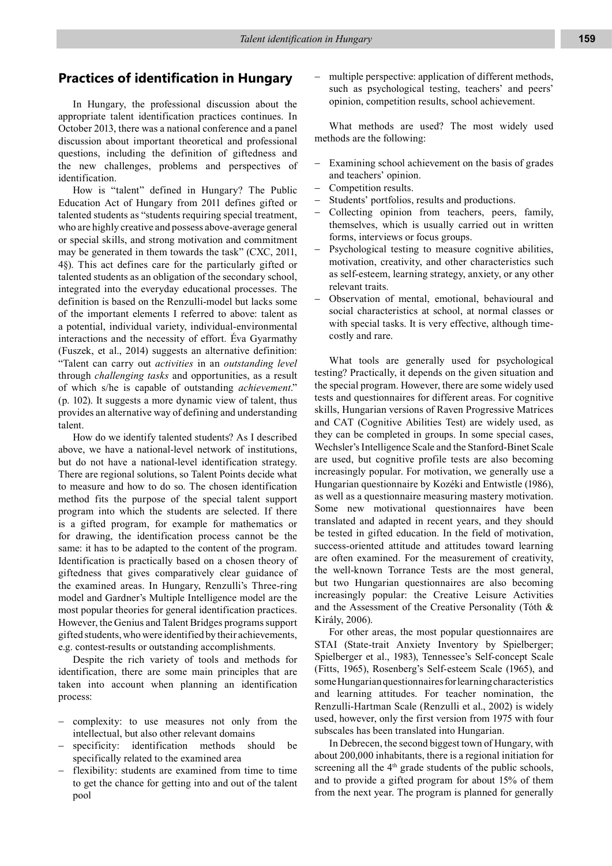## **Practices of identification in Hungary**

In Hungary, the professional discussion about the appropriate talent identification practices continues. In October 2013, there was a national conference and a panel discussion about important theoretical and professional questions, including the definition of giftedness and the new challenges, problems and perspectives of identification.

How is "talent" defined in Hungary? The Public Education Act of Hungary from 2011 defines gifted or talented students as "students requiring special treatment, who are highly creative and possess above-average general or special skills, and strong motivation and commitment may be generated in them towards the task" (CXC, 2011, 4§). This act defines care for the particularly gifted or talented students as an obligation of the secondary school, integrated into the everyday educational processes. The definition is based on the Renzulli-model but lacks some of the important elements I referred to above: talent as a potential, individual variety, individual-environmental interactions and the necessity of effort. Éva Gyarmathy (Fuszek, et al., 2014) suggests an alternative definition: "Talent can carry out *activities* in an *outstanding level* through *challenging tasks* and opportunities, as a result of which s/he is capable of outstanding *achievement*." (p. 102). It suggests a more dynamic view of talent, thus provides an alternative way of defining and understanding talent.

How do we identify talented students? As I described above, we have a national-level network of institutions, but do not have a national-level identification strategy. There are regional solutions, so Talent Points decide what to measure and how to do so. The chosen identification method fits the purpose of the special talent support program into which the students are selected. If there is a gifted program, for example for mathematics or for drawing, the identification process cannot be the same: it has to be adapted to the content of the program. Identification is practically based on a chosen theory of giftedness that gives comparatively clear guidance of the examined areas. In Hungary, Renzulli's Three-ring model and Gardner's Multiple Intelligence model are the most popular theories for general identification practices. However, the Genius and Talent Bridges programs support gifted students, who were identified by their achievements, e.g. contest-results or outstanding accomplishments.

Despite the rich variety of tools and methods for identification, there are some main principles that are taken into account when planning an identification process:

- − complexity: to use measures not only from the intellectual, but also other relevant domains
- specificity: identification methods should be specifically related to the examined area
- flexibility: students are examined from time to time to get the chance for getting into and out of the talent pool

multiple perspective: application of different methods, such as psychological testing, teachers' and peers' opinion, competition results, school achievement.

What methods are used? The most widely used methods are the following:

- − Examining school achievement on the basis of grades and teachers' opinion.
- − Competition results.
- − Students' portfolios, results and productions.
- − Collecting opinion from teachers, peers, family, themselves, which is usually carried out in written forms, interviews or focus groups.
- Psychological testing to measure cognitive abilities, motivation, creativity, and other characteristics such as self-esteem, learning strategy, anxiety, or any other relevant traits.
- − Observation of mental, emotional, behavioural and social characteristics at school, at normal classes or with special tasks. It is very effective, although timecostly and rare.

What tools are generally used for psychological testing? Practically, it depends on the given situation and the special program. However, there are some widely used tests and questionnaires for different areas. For cognitive skills, Hungarian versions of Raven Progressive Matrices and CAT (Cognitive Abilities Test) are widely used, as they can be completed in groups. In some special cases, Wechsler's Intelligence Scale and the Stanford-Binet Scale are used, but cognitive profile tests are also becoming increasingly popular. For motivation, we generally use a Hungarian questionnaire by Kozéki and Entwistle (1986), as well as a questionnaire measuring mastery motivation. Some new motivational questionnaires have been translated and adapted in recent years, and they should be tested in gifted education. In the field of motivation, success-oriented attitude and attitudes toward learning are often examined. For the measurement of creativity, the well-known Torrance Tests are the most general, but two Hungarian questionnaires are also becoming increasingly popular: the Creative Leisure Activities and the Assessment of the Creative Personality (Tóth & Király, 2006).

For other areas, the most popular questionnaires are STAI (State-trait Anxiety Inventory by Spielberger; Spielberger et al., 1983), Tennessee's Self-concept Scale (Fitts, 1965), Rosenberg's Self-esteem Scale (1965), and some Hungarian questionnaires for learning characteristics and learning attitudes. For teacher nomination, the Renzulli-Hartman Scale (Renzulli et al., 2002) is widely used, however, only the first version from 1975 with four subscales has been translated into Hungarian.

In Debrecen, the second biggest town of Hungary, with about 200,000 inhabitants, there is a regional initiation for screening all the 4<sup>th</sup> grade students of the public schools, and to provide a gifted program for about 15% of them from the next year. The program is planned for generally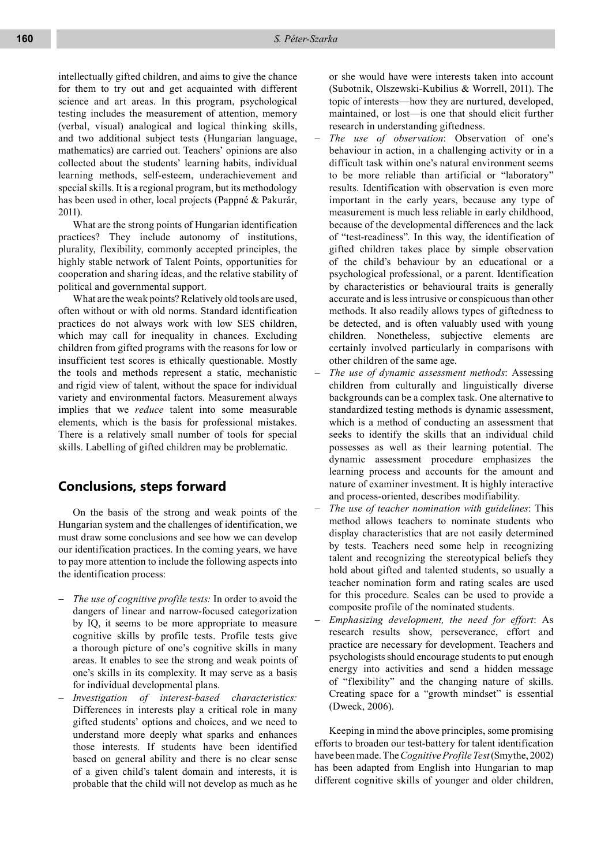intellectually gifted children, and aims to give the chance for them to try out and get acquainted with different science and art areas. In this program, psychological testing includes the measurement of attention, memory (verbal, visual) analogical and logical thinking skills, and two additional subject tests (Hungarian language, mathematics) are carried out. Teachers' opinions are also collected about the students' learning habits, individual learning methods, self-esteem, underachievement and special skills. It is a regional program, but its methodology has been used in other, local projects (Pappné & Pakurár, 2011).

What are the strong points of Hungarian identification practices? They include autonomy of institutions, plurality, flexibility, commonly accepted principles, the highly stable network of Talent Points, opportunities for cooperation and sharing ideas, and the relative stability of political and governmental support.

What are the weak points? Relatively old tools are used, often without or with old norms. Standard identification practices do not always work with low SES children, which may call for inequality in chances. Excluding children from gifted programs with the reasons for low or insufficient test scores is ethically questionable. Mostly the tools and methods represent a static, mechanistic and rigid view of talent, without the space for individual variety and environmental factors. Measurement always implies that we *reduce* talent into some measurable elements, which is the basis for professional mistakes. There is a relatively small number of tools for special skills. Labelling of gifted children may be problematic.

# **Conclusions, steps forward**

On the basis of the strong and weak points of the Hungarian system and the challenges of identification, we must draw some conclusions and see how we can develop our identification practices. In the coming years, we have to pay more attention to include the following aspects into the identification process:

- *The use of cognitive profile tests:* In order to avoid the dangers of linear and narrow-focused categorization by IQ, it seems to be more appropriate to measure cognitive skills by profile tests. Profile tests give a thorough picture of one's cognitive skills in many areas. It enables to see the strong and weak points of one's skills in its complexity. It may serve as a basis for individual developmental plans.
- − *Investigation of interest-based characteristics:* Differences in interests play a critical role in many gifted students' options and choices, and we need to understand more deeply what sparks and enhances those interests. If students have been identified based on general ability and there is no clear sense of a given child's talent domain and interests, it is probable that the child will not develop as much as he

or she would have were interests taken into account (Subotnik, Olszewski-Kubilius & Worrell, 2011). The topic of interests—how they are nurtured, developed, maintained, or lost—is one that should elicit further research in understanding giftedness.

- − *The use of observation*: Observation of one's behaviour in action, in a challenging activity or in a difficult task within one's natural environment seems to be more reliable than artificial or "laboratory" results. Identification with observation is even more important in the early years, because any type of measurement is much less reliable in early childhood, because of the developmental differences and the lack of "test-readiness". In this way, the identification of gifted children takes place by simple observation of the child's behaviour by an educational or a psychological professional, or a parent. Identification by characteristics or behavioural traits is generally accurate and is less intrusive or conspicuous than other methods. It also readily allows types of giftedness to be detected, and is often valuably used with young children. Nonetheless, subjective elements are certainly involved particularly in comparisons with other children of the same age.
- − *The use of dynamic assessment methods*: Assessing children from culturally and linguistically diverse backgrounds can be a complex task. One alternative to standardized testing methods is dynamic assessment, which is a method of conducting an assessment that seeks to identify the skills that an individual child possesses as well as their learning potential. The dynamic assessment procedure emphasizes the learning process and accounts for the amount and nature of examiner investment. It is highly interactive and process-oriented, describes modifiability.
- − *The use of teacher nomination with guidelines*: This method allows teachers to nominate students who display characteristics that are not easily determined by tests. Teachers need some help in recognizing talent and recognizing the stereotypical beliefs they hold about gifted and talented students, so usually a teacher nomination form and rating scales are used for this procedure. Scales can be used to provide a composite profile of the nominated students.
- − *Emphasizing development, the need for effort*: As research results show, perseverance, effort and practice are necessary for development. Teachers and psychologists should encourage students to put enough energy into activities and send a hidden message of "flexibility" and the changing nature of skills. Creating space for a "growth mindset" is essential (Dweck, 2006).

Keeping in mind the above principles, some promising efforts to broaden our test-battery for talent identification have been made. The *Cognitive Profile Test* (Smythe, 2002) has been adapted from English into Hungarian to map different cognitive skills of younger and older children,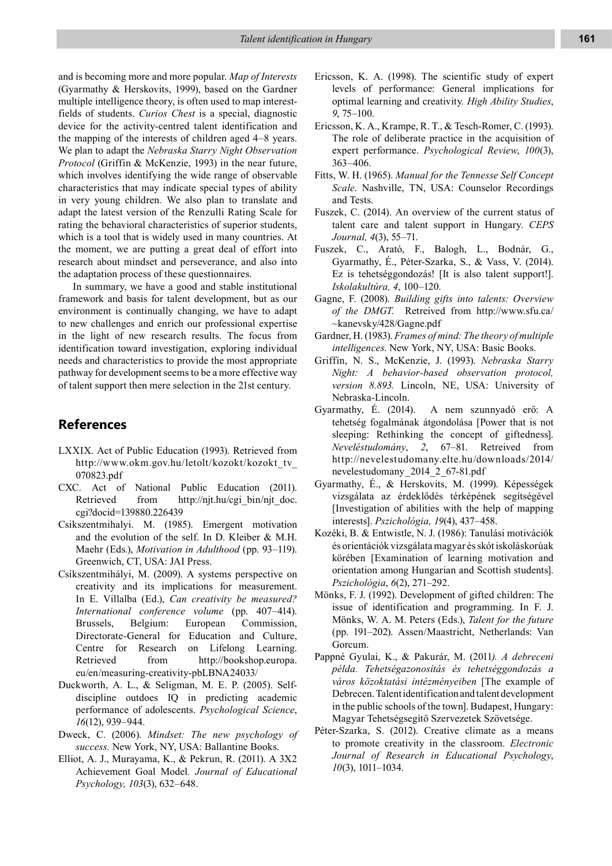and is becoming more and more popular. *Map of Interests* (Gyarmathy & Herskovits, 1999), based on the Gardner multiple intelligence theory, is often used to map interestfields of students. *Curios Chest* is a special, diagnostic device for the activity-centred talent identification and the mapping of the interests of children aged 4–8 years. We plan to adapt the *Nebraska Starry Night Observation Protocol* (Griffin & McKenzie, 1993) in the near future, which involves identifying the wide range of observable characteristics that may indicate special types of ability in very young children. We also plan to translate and adapt the latest version of the Renzulli Rating Scale for rating the behavioral characteristics of superior students, which is a tool that is widely used in many countries. At the moment, we are putting a great deal of effort into research about mindset and perseverance, and also into the adaptation process of these questionnaires.

In summary, we have a good and stable institutional framework and basis for talent development, but as our environment is continually changing, we have to adapt to new challenges and enrich our professional expertise in the light of new research results. The focus from identification toward investigation, exploring individual needs and characteristics to provide the most appropriate pathway for development seems to be a more effective way of talent support then mere selection in the 21st century.

## **References**

- LXXIX. Act of Public Education (1993). Retrieved from http://www.okm.gov.hu/letolt/kozokt/kozokt\_tv\_ 070823.pdf
- CXC. Act of National Public Education (2011). Retrieved from http://njt.hu/cgi\_bin/njt\_doc. cgi?docid=139880.226439
- Csikszentmihalyi. M. (1985). Emergent motivation and the evolution of the self. In D. Kleiber & M.H. Maehr (Eds*.*), *Motivation in Adulthood* (pp. 93–119). Greenwich, CT, USA: JAI Press.
- Csíkszentmihályi, M. (2009). A systems perspective on creativity and its implications for measurement. In E. Villalba (Ed.), *Can creativity be measured? International conference volume* (pp. 407–414). Brussels, Belgium: European Commission, Directorate-General for Education and Culture, Centre for Research on Lifelong Learning. Retrieved from http://bookshop.europa. eu/en/measuring-creativity-pbLBNA24033/
- Duckworth, A. L., & Seligman, M. E. P. (2005). Selfdiscipline outdoes IQ in predicting academic performance of adolescents. *Psychological Science*, *16*(12), 939–944.
- Dweck, C. (2006). *Mindset: The new psychology of success.* New York, NY, USA: Ballantine Books.
- Elliot, A. J., Murayama, K., & Pekrun, R. (2011). A 3X2 Achievement Goal Model*. Journal of Educational Psychology, 103*(3), 632–648.
- Ericsson, K. A. (1998). The scientific study of expert levels of performance: General implications for optimal learning and creativity*. High Ability Studies*, *9*, 75–100.
- Ericsson, K. A., Krampe, R. T., & Tesch-Romer, C. (1993). The role of deliberate practice in the acquisition of expert performance. *Psychological Review*, *100*(3), 363–406.
- Fitts, W. H. (1965). *Manual for the Tennesse Self Concept Scale*. Nashville, TN, USA: Counselor Recordings and Tests.
- Fuszek, C. (2014). An overview of the current status of talent care and talent support in Hungary. *CEPS Journal, 4*(3), 55–71.
- Fuszek, C., Arató, F., Balogh, L., Bodnár, G., Gyarmathy, É., Péter-Szarka, S., & Vass, V. (2014). Ez is tehetséggondozás! [It is also talent support!]. *Iskolakultúra, 4*, 100–120.
- Gagne, F. (2008). *Building gifts into talents: Overview of the DMGT*. Retreived from http://www.sfu.ca/ ~kanevsky/428/Gagne.pdf
- Gardner, H. (1983). *Frames of mind: The theory of multiple intelligences*. New York, NY, USA: Basic Books.
- Griffin, N. S., McKenzie, J. (1993). *Nebraska Starry Night: A behavior-based observation protocol, version 8.893.* Lincoln, NE, USA: University of Nebraska-Lincoln.
- Gyarmathy, É. (2014). A nem szunnyadó erő: A tehetség fogalmának átgondolása [Power that is not sleeping: Rethinking the concept of giftedness]. *Neveléstudomány*, *2*, 67–81. Retreived from http://nevelestudomany.elte.hu/downloads/2014/ nevelestudomany\_2014\_2\_67-81.pdf
- Gyarmathy, É., & Herskovits, M. (1999). Képességek vizsgálata az érdeklődés térképének segítségével [Investigation of abilities with the help of mapping interests]. *Pszichológia, 19*(4), 437–458.
- Kozéki, B. & Entwistle, N. J. (1986): Tanulási motivációk és orientációk vizsgálata magyar és skót iskoláskorúak körében [Examination of learning motivation and orientation among Hungarian and Scottish students]. *Pszichológia*, *6*(2), 271–292.
- Mönks, F. J. (1992). Development of gifted children: The issue of identification and programming. In F. J. Mönks, W. A. M. Peters (Eds.), *Talent for the future*  (pp. 191–202). Assen/Maastricht, Netherlands: Van Gorcum.
- Pappné Gyulai, K., & Pakurár, M. (2011*). A debreceni példa. Tehetségazonosítás és tehetséggondozás a város közoktatási intézményeiben* [The example of Debrecen. Talent identification and talent development in the public schools of the town]. Budapest, Hungary: Magyar Tehetségsegítő Szervezetek Szövetsége.
- Péter-Szarka, S. (2012). Creative climate as a means to promote creativity in the classroom. *Electronic Journal of Research in Educational Psychology*, *10*(3), 1011–1034.